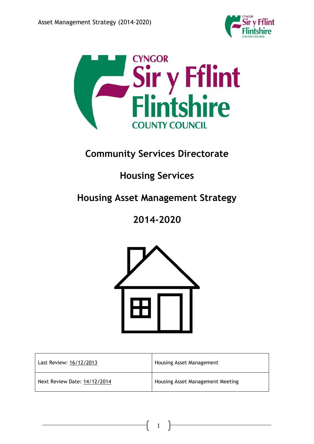



# **Community Services Directorate**

# **Housing Services**

# **Housing Asset Management Strategy**

# **2014-2020**



| Last Review: 16/12/2013      | Housing Asset Management         |
|------------------------------|----------------------------------|
| Next Review Date: 14/12/2014 | Housing Asset Management Meeting |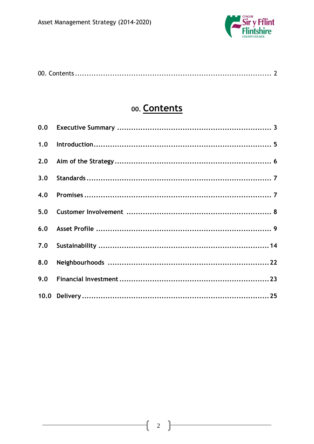

# 00. Contents

| 1.0 |  |
|-----|--|
| 2.0 |  |
| 3.0 |  |
| 4.0 |  |
| 5.0 |  |
| 6,0 |  |
| 7.0 |  |
| 8.0 |  |
| 9.0 |  |
|     |  |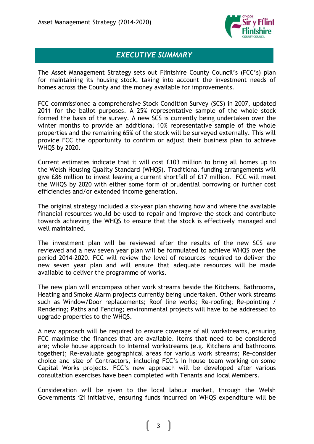

# *EXECUTIVE SUMMARY*

The Asset Management Strategy sets out Flintshire County Council's (FCC's) plan for maintaining its housing stock, taking into account the investment needs of homes across the County and the money available for improvements.

FCC commissioned a comprehensive Stock Condition Survey (SCS) in 2007, updated 2011 for the ballot purposes. A 25% representative sample of the whole stock formed the basis of the survey. A new SCS is currently being undertaken over the winter months to provide an additional 10% representative sample of the whole properties and the remaining 65% of the stock will be surveyed externally. This will provide FCC the opportunity to confirm or adjust their business plan to achieve WHQS by 2020.

Current estimates indicate that it will cost £103 million to bring all homes up to the Welsh Housing Quality Standard (WHQS). Traditional funding arrangements will give £86 million to invest leaving a current shortfall of £17 million. FCC will meet the WHQS by 2020 with either some form of prudential borrowing or further cost efficiencies and/or extended income generation.

The original strategy included a six-year plan showing how and where the available financial resources would be used to repair and improve the stock and contribute towards achieving the WHQS to ensure that the stock is effectively managed and well maintained.

The investment plan will be reviewed after the results of the new SCS are reviewed and a new seven year plan will be formulated to achieve WHQS over the period 2014-2020. FCC will review the level of resources required to deliver the new seven year plan and will ensure that adequate resources will be made available to deliver the programme of works.

The new plan will encompass other work streams beside the Kitchens, Bathrooms, Heating and Smoke Alarm projects currently being undertaken. Other work streams such as Window/Door replacements; Roof line works; Re-roofing; Re-pointing / Rendering; Paths and Fencing; environmental projects will have to be addressed to upgrade properties to the WHQS.

A new approach will be required to ensure coverage of all workstreams, ensuring FCC maximise the finances that are available. Items that need to be considered are; whole house approach to Internal workstreams (e.g. Kitchens and bathrooms together); Re-evaluate geographical areas for various work streams; Re-consider choice and size of Contractors, including FCC's in house team working on some Capital Works projects. FCC's new approach will be developed after various consultation exercises have been completed with Tenants and local Members.

Consideration will be given to the local labour market, through the Welsh Governments i2i initiative, ensuring funds incurred on WHQS expenditure will be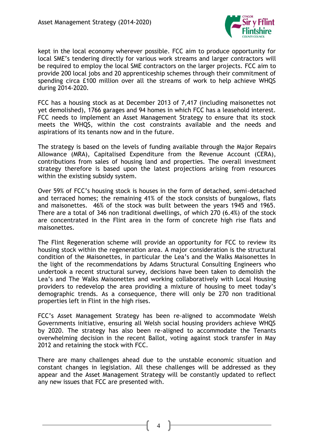

kept in the local economy wherever possible. FCC aim to produce opportunity for local SME's tendering directly for various work streams and larger contractors will be required to employ the local SME contractors on the larger projects. FCC aim to provide 200 local jobs and 20 apprenticeship schemes through their commitment of spending circa £100 million over all the streams of work to help achieve WHQS during 2014-2020.

FCC has a housing stock as at December 2013 of 7,417 (including maisonettes not yet demolished), 1766 garages and 94 homes in which FCC has a leasehold interest. FCC needs to implement an Asset Management Strategy to ensure that its stock meets the WHQS, within the cost constraints available and the needs and aspirations of its tenants now and in the future.

The strategy is based on the levels of funding available through the Major Repairs Allowance (MRA), Capitalised Expenditure from the Revenue Account (CERA), contributions from sales of housing land and properties. The overall investment strategy therefore is based upon the latest projections arising from resources within the existing subsidy system.

Over 59% of FCC's housing stock is houses in the form of detached, semi-detached and terraced homes; the remaining 41% of the stock consists of bungalows, flats and maisonettes. 46% of the stock was built between the years 1945 and 1965. There are a total of 346 non traditional dwellings, of which 270 (6.4%) of the stock are concentrated in the Flint area in the form of concrete high rise flats and maisonettes.

The Flint Regeneration scheme will provide an opportunity for FCC to review its housing stock within the regeneration area. A major consideration is the structural condition of the Maisonettes, in particular the Lea's and the Walks Maisonettes In the light of the recommendations by Adams Structural Consulting Engineers who undertook a recent structural survey, decisions have been taken to demolish the Lea's and The Walks Maisonettes and working collaboratively with Local Housing providers to redevelop the area providing a mixture of housing to meet today's demographic trends. As a consequence, there will only be 270 non traditional properties left in Flint in the high rises.

FCC's Asset Management Strategy has been re-aligned to accommodate Welsh Governments initiative, ensuring all Welsh social housing providers achieve WHQS by 2020. The strategy has also been re-aligned to accommodate the Tenants overwhelming decision in the recent Ballot, voting against stock transfer in May 2012 and retaining the stock with FCC.

There are many challenges ahead due to the unstable economic situation and constant changes in legislation. All these challenges will be addressed as they appear and the Asset Management Strategy will be constantly updated to reflect any new issues that FCC are presented with.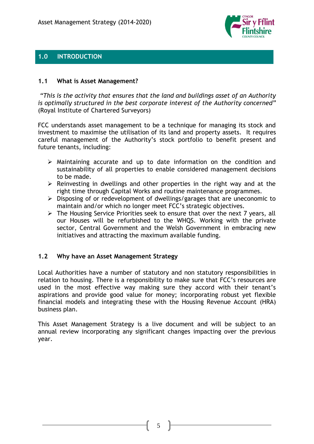

# **1.0 INTRODUCTION**

### **1.1 What is Asset Management?**

*"This is the activity that ensures that the land and buildings asset of an Authority is optimally structured in the best corporate interest of the Authority concerned"*  (Royal Institute of Chartered Surveyors)

FCC understands asset management to be a technique for managing its stock and investment to maximise the utilisation of its land and property assets. It requires careful management of the Authority's stock portfolio to benefit present and future tenants, including:

- $\triangleright$  Maintaining accurate and up to date information on the condition and sustainability of all properties to enable considered management decisions to be made.
- $\triangleright$  Reinvesting in dwellings and other properties in the right way and at the right time through Capital Works and routine maintenance programmes.
- $\triangleright$  Disposing of or redevelopment of dwellings/garages that are uneconomic to maintain and/or which no longer meet FCC's strategic objectives.
- The Housing Service Priorities seek to ensure that over the next 7 years, all our Houses will be refurbished to the WHQS. Working with the private sector, Central Government and the Welsh Government in embracing new initiatives and attracting the maximum available funding.

# **1.2 Why have an Asset Management Strategy**

Local Authorities have a number of statutory and non statutory responsibilities in relation to housing. There is a responsibility to make sure that FCC's resources are used in the most effective way making sure they accord with their tenant's aspirations and provide good value for money; incorporating robust yet flexible financial models and integrating these with the Housing Revenue Account (HRA) business plan.

This Asset Management Strategy is a live document and will be subject to an annual review incorporating any significant changes impacting over the previous year.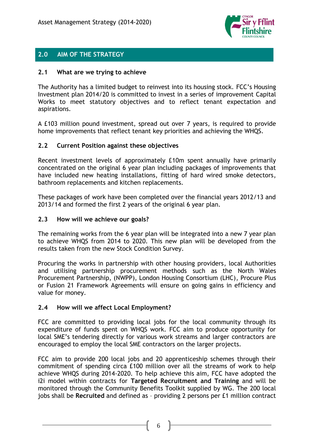

# **2.0 AIM OF THE STRATEGY**

#### **2.1 What are we trying to achieve**

The Authority has a limited budget to reinvest into its housing stock. FCC's Housing Investment plan 2014/20 is committed to invest in a series of improvement Capital Works to meet statutory objectives and to reflect tenant expectation and aspirations.

A £103 million pound investment, spread out over 7 years, is required to provide home improvements that reflect tenant key priorities and achieving the WHQS.

### **2.2 Current Position against these objectives**

Recent investment levels of approximately £10m spent annually have primarily concentrated on the original 6 year plan including packages of improvements that have included new heating installations, fitting of hard wired smoke detectors, bathroom replacements and kitchen replacements.

These packages of work have been completed over the financial years 2012/13 and 2013/14 and formed the first 2 years of the original 6 year plan.

#### **2.3 How will we achieve our goals?**

The remaining works from the 6 year plan will be integrated into a new 7 year plan to achieve WHQS from 2014 to 2020. This new plan will be developed from the results taken from the new Stock Condition Survey.

Procuring the works in partnership with other housing providers, local Authorities and utilising partnership procurement methods such as the North Wales Procurement Partnership, (NWPP), London Housing Consortium (LHC), Procure Plus or Fusion 21 Framework Agreements will ensure on going gains in efficiency and value for money.

#### **2.4 How will we affect Local Employment?**

FCC are committed to providing local jobs for the local community through its expenditure of funds spent on WHQS work. FCC aim to produce opportunity for local SME's tendering directly for various work streams and larger contractors are encouraged to employ the local SME contractors on the larger projects.

FCC aim to provide 200 local jobs and 20 apprenticeship schemes through their commitment of spending circa £100 million over all the streams of work to help achieve WHQS during 2014-2020. To help achieve this aim, FCC have adopted the i2i model within contracts for **Targeted Recruitment and Training** and will be monitored through the Community Benefits Toolkit supplied by WG. The 200 local jobs shall be **Recruited** and defined as – providing 2 persons per £1 million contract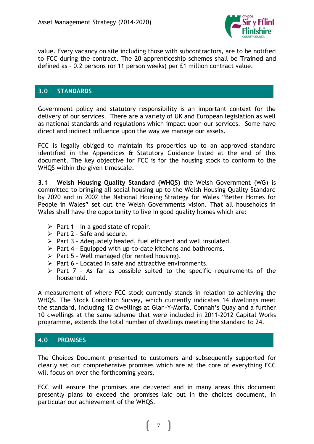

value. Every vacancy on site including those with subcontractors, are to be notified to FCC during the contract. The 20 apprenticeship schemes shall be **Trained** and defined as – 0.2 persons (or 11 person weeks) per £1 million contract value.

# **3.0 STANDARDS**

Government policy and statutory responsibility is an important context for the delivery of our services. There are a variety of UK and European legislation as well as national standards and regulations which impact upon our services. Some have direct and indirect influence upon the way we manage our assets.

FCC is legally obliged to maintain its properties up to an approved standard identified in the Appendices & Statutory Guidance listed at the end of this document. The key objective for FCC is for the housing stock to conform to the WHQS within the given timescale.

**3.1 Welsh Housing Quality Standard (WHQS)** the Welsh Government (WG) is committed to bringing all social housing up to the Welsh Housing Quality Standard by 2020 and in 2002 the National Housing Strategy for Wales "Better Homes for People in Wales" set out the Welsh Governments vision. That all households in Wales shall have the opportunity to live in good quality homes which are:

- $\triangleright$  Part 1 In a good state of repair.
- $\triangleright$  Part 2 Safe and secure.
- $\triangleright$  Part 3 Adequately heated, fuel efficient and well insulated.
- $\triangleright$  Part 4 Equipped with up-to-date kitchens and bathrooms.
- $\triangleright$  Part 5 Well managed (for rented housing).
- $\triangleright$  Part 6 Located in safe and attractive environments.
- $\triangleright$  Part 7 As far as possible suited to the specific requirements of the household.

A measurement of where FCC stock currently stands in relation to achieving the WHQS. The Stock Condition Survey, which currently indicates 14 dwellings meet the standard, including 12 dwellings at Glan-Y-Morfa, Connah's Quay and a further 10 dwellings at the same scheme that were included in 2011-2012 Capital Works programme, extends the total number of dwellings meeting the standard to 24.

# **4.0 PROMISES**

The Choices Document presented to customers and subsequently supported for clearly set out comprehensive promises which are at the core of everything FCC will focus on over the forthcoming years.

FCC will ensure the promises are delivered and in many areas this document presently plans to exceed the promises laid out in the choices document, in particular our achievement of the WHQS.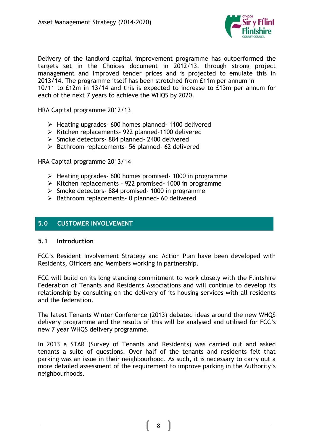

Delivery of the landlord capital improvement programme has outperformed the targets set in the Choices document in 2012/13, through strong project management and improved tender prices and is projected to emulate this in 2013/14. The programme itself has been stretched from £11m per annum in 10/11 to £12m in 13/14 and this is expected to increase to £13m per annum for each of the next 7 years to achieve the WHQS by 2020.

HRA Capital programme 2012/13

- Heating upgrades- 600 homes planned- 1100 delivered
- $\triangleright$  Kitchen replacements- 922 planned-1100 delivered
- $\triangleright$  Smoke detectors- 884 planned- 2400 delivered
- $\triangleright$  Bathroom replacements- 56 planned- 62 delivered

HRA Capital programme 2013/14

- $\triangleright$  Heating upgrades- 600 homes promised- 1000 in programme
- $\triangleright$  Kitchen replacements 922 promised- 1000 in programme
- $\geq$  Smoke detectors- 884 promised- 1000 in programme
- $\triangleright$  Bathroom replacements- 0 planned- 60 delivered

# **5.0 CUSTOMER INVOLVEMENT**

#### **5.1 Introduction**

FCC's Resident Involvement Strategy and Action Plan have been developed with Residents, Officers and Members working in partnership.

FCC will build on its long standing commitment to work closely with the Flintshire Federation of Tenants and Residents Associations and will continue to develop its relationship by consulting on the delivery of its housing services with all residents and the federation.

The latest Tenants Winter Conference (2013) debated ideas around the new WHQS delivery programme and the results of this will be analysed and utilised for FCC's new 7 year WHQS delivery programme.

In 2013 a STAR (Survey of Tenants and Residents) was carried out and asked tenants a suite of questions. Over half of the tenants and residents felt that parking was an issue in their neighbourhood. As such, it is necessary to carry out a more detailed assessment of the requirement to improve parking in the Authority's neighbourhoods.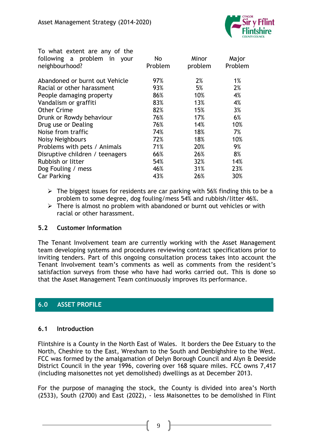

| To what extent are any of the   |         |         |         |
|---------------------------------|---------|---------|---------|
| following a problem in your     | No.     | Minor   | Major   |
| neighbourhood?                  | Problem | problem | Problem |
| Abandoned or burnt out Vehicle  | 97%     | 2%      | 1%      |
| Racial or other harassment      | 93%     | 5%      | 2%      |
| People damaging property        | 86%     | 10%     | 4%      |
| Vandalism or graffiti           | 83%     | 13%     | 4%      |
| <b>Other Crime</b>              | 82%     | 15%     | 3%      |
| Drunk or Rowdy behaviour        | 76%     | 17%     | 6%      |
| Drug use or Dealing             | 76%     | 14%     | 10%     |
| Noise from traffic              | 74%     | 18%     | 7%      |
| Noisy Neighbours                | 72%     | 18%     | 10%     |
| Problems with pets / Animals    | 71%     | 20%     | 9%      |
| Disruptive children / teenagers | 66%     | 26%     | 8%      |
| Rubbish or litter               | 54%     | 32%     | 14%     |
| Dog Fouling / mess              | 46%     | 31%     | 23%     |
| <b>Car Parking</b>              | 43%     | 26%     | 30%     |

- $\triangleright$  The biggest issues for residents are car parking with 56% finding this to be a problem to some degree, dog fouling/mess 54% and rubbish/litter 46%.
- $\triangleright$  There is almost no problem with abandoned or burnt out vehicles or with racial or other harassment.

# **5.2 Customer Information**

The Tenant Involvement team are currently working with the Asset Management team developing systems and procedures reviewing contract specifications prior to inviting tenders. Part of this ongoing consultation process takes into account the Tenant Involvement team's comments as well as comments from the resident's satisfaction surveys from those who have had works carried out. This is done so that the Asset Management Team continuously improves its performance.

# **6.0 ASSET PROFILE**

# **6.1 Introduction**

Flintshire is a County in the North East of Wales. It borders the Dee Estuary to the North, Cheshire to the East, Wrexham to the South and Denbighshire to the West. FCC was formed by the amalgamation of Delyn Borough Council and Alyn & Deeside District Council in the year 1996, covering over 168 square miles. FCC owns 7,417 (including maisonettes not yet demolished) dwellings as at December 2013.

For the purpose of managing the stock, the County is divided into area's North (2533), South (2700) and East (2022), - less Maisonettes to be demolished in Flint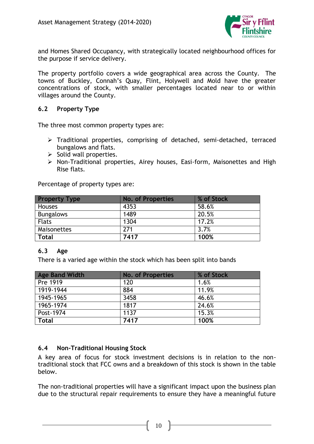

and Homes Shared Occupancy, with strategically located neighbourhood offices for the purpose if service delivery.

The property portfolio covers a wide geographical area across the County. The towns of Buckley, Connah's Quay, Flint, Holywell and Mold have the greater concentrations of stock, with smaller percentages located near to or within villages around the County.

#### **6.2 Property Type**

The three most common property types are:

- Traditional properties, comprising of detached, semi-detached, terraced bungalows and flats.
- $\triangleright$  Solid wall properties.
- Non-Traditional properties, Airey houses, Easi-form, Maisonettes and High Rise flats.

Percentage of property types are:

| <b>Property Type</b> | <b>No. of Properties</b> | % of Stock |
|----------------------|--------------------------|------------|
| <b>Houses</b>        | 4353                     | 58.6%      |
| <b>Bungalows</b>     | 1489                     | 20.5%      |
| <b>Flats</b>         | 1304                     | 17.2%      |
| Maisonettes          | 271                      | 3.7%       |
| <b>Total</b>         | 7417                     | 100%       |

#### **6.3 Age**

There is a varied age within the stock which has been split into bands

| <b>Age Band Width</b> | <b>No. of Properties</b> | % of Stock |
|-----------------------|--------------------------|------------|
| Pre 1919              | 120                      | 1.6%       |
| 1919-1944             | 884                      | 11.9%      |
| 1945-1965             | 3458                     | 46.6%      |
| 1965-1974             | 1817                     | 24.6%      |
| Post-1974             | 1137                     | 15.3%      |
| <b>Total</b>          | 7417                     | 100%       |

#### **6.4 Non-Traditional Housing Stock**

A key area of focus for stock investment decisions is in relation to the nontraditional stock that FCC owns and a breakdown of this stock is shown in the table below.

The non-traditional properties will have a significant impact upon the business plan due to the structural repair requirements to ensure they have a meaningful future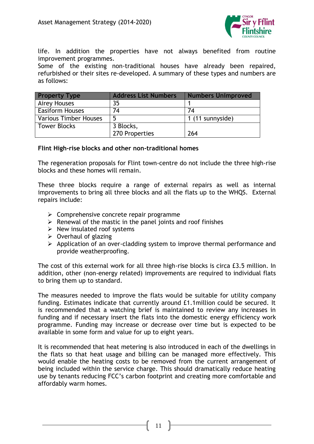

life. In addition the properties have not always benefited from routine improvement programmes.

Some of the existing non-traditional houses have already been repaired, refurbished or their sites re-developed. A summary of these types and numbers are as follows:

| <b>Property Type</b>         | <b>Address List Numbers</b> | <b>Numbers Unimproved</b> |
|------------------------------|-----------------------------|---------------------------|
| <b>Airey Houses</b>          | 35                          |                           |
| <b>Easiform Houses</b>       | 74                          | 74                        |
| <b>Various Timber Houses</b> | 5                           | 1 (11 sunnyside)          |
| <b>Tower Blocks</b>          | 3 Blocks,                   |                           |
|                              | 270 Properties              | 264                       |

#### **Flint High-rise blocks and other non-traditional homes**

The regeneration proposals for Flint town-centre do not include the three high-rise blocks and these homes will remain.

These three blocks require a range of external repairs as well as internal improvements to bring all three blocks and all the flats up to the WHQS. External repairs include:

- $\triangleright$  Comprehensive concrete repair programme
- $\triangleright$  Renewal of the mastic in the panel joints and roof finishes
- $\triangleright$  New insulated roof systems
- $\triangleright$  Overhaul of glazing
- $\triangleright$  Application of an over-cladding system to improve thermal performance and provide weatherproofing.

The cost of this external work for all three high-rise blocks is circa £3.5 million. In addition, other (non-energy related) improvements are required to individual flats to bring them up to standard.

The measures needed to improve the flats would be suitable for utility company funding. Estimates indicate that currently around £1.1million could be secured. It is recommended that a watching brief is maintained to review any increases in funding and if necessary insert the flats into the domestic energy efficiency work programme. Funding may increase or decrease over time but is expected to be available in some form and value for up to eight years.

It is recommended that heat metering is also introduced in each of the dwellings in the flats so that heat usage and billing can be managed more effectively. This would enable the heating costs to be removed from the current arrangement of being included within the service charge. This should dramatically reduce heating use by tenants reducing FCC's carbon footprint and creating more comfortable and affordably warm homes.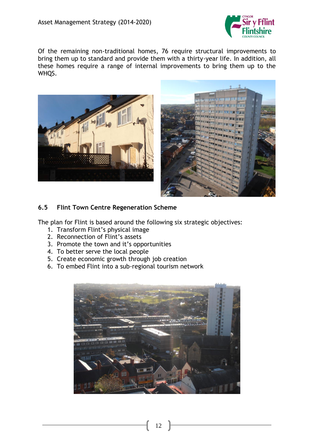

Of the remaining non-traditional homes, 76 require structural improvements to bring them up to standard and provide them with a thirty-year life. In addition, all these homes require a range of internal improvements to bring them up to the WHQS.





# **6.5 Flint Town Centre Regeneration Scheme**

The plan for Flint is based around the following six strategic objectives:

- 1. Transform Flint's physical image
- 2. Reconnection of Flint's assets
- 3. Promote the town and it's opportunities
- 4. To better serve the local people
- 5. Create economic growth through job creation
- 6. To embed Flint into a sub-regional tourism network

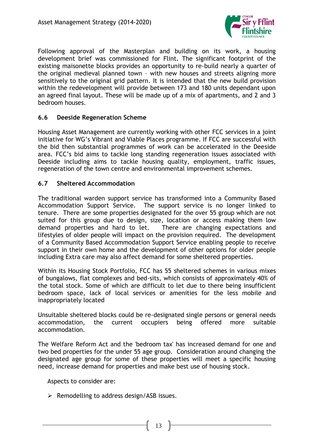

Following approval of the Masterplan and building on its work, a housing development brief was commissioned for Flint. The significant footprint of the existing maisonette blocks provides an opportunity to re-build nearly a quarter of the original medieval planned town – with new houses and streets aligning more sensitively to the original grid pattern. It is intended that the new build provision within the redevelopment will provide between 173 and 180 units dependant upon an agreed final layout. These will be made up of a mix of apartments, and 2 and 3 bedroom houses.

### **6.6 Deeside Regeneration Scheme**

Housing Asset Management are currently working with other FCC services in a joint initiative for WG's Vibrant and Viable Places programme. If FCC are successful with the bid then substantial programmes of work can be accelerated in the Deeside area. FCC's bid aims to tackle long standing regeneration issues associated with Deeside including aims to tackle housing quality, employment, traffic issues, regeneration of the town centre and environmental improvement schemes.

### **6.7 Sheltered Accommodation**

The traditional warden support service has transformed into a Community Based Accommodation Support Service. The support service is no longer linked to tenure. There are some properties designated for the over 55 group which are not suited for this group due to design, size, location or access making them low demand properties and hard to let. There are changing expectations and lifestyles of older people will impact on the provision required. The development of a Community Based Accommodation Support Service enabling people to receive support in their own home and the development of other options for older people including Extra care may also affect demand for some sheltered properties.

Within its Housing Stock Portfolio, FCC has 55 sheltered schemes in various mixes of bungalows, flat complexes and bed-sits, which consists of approximately 40% of the total stock. Some of which are difficult to let due to there being insufficient bedroom space, lack of local services or amenities for the less mobile and inappropriately located

Unsuitable sheltered blocks could be re-designated single persons or general needs accommodation, the current occupiers being offered more suitable accommodation.

The Welfare Reform Act and the 'bedroom tax' has increased demand for one and two bed properties for the under 55 age group. Consideration around changing the designated age group for some of these properties will meet a specific housing need, increase demand for properties and make best use of housing stock.

Aspects to consider are:

 $\triangleright$  Remodelling to address design/ASB issues.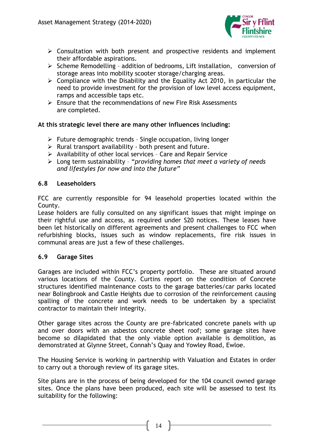

- $\triangleright$  Consultation with both present and prospective residents and implement their affordable aspirations.
- $\triangleright$  Scheme Remodelling addition of bedrooms, Lift installation, conversion of storage areas into mobility scooter storage/charging areas.
- $\triangleright$  Compliance with the Disability and the Equality Act 2010, in particular the need to provide investment for the provision of low level access equipment, ramps and accessible taps etc.
- Ensure that the recommendations of new Fire Risk Assessments are completed.

### **At this strategic level there are many other influences including:**

- $\triangleright$  Future demographic trends Single occupation, living longer
- $\triangleright$  Rural transport availability both present and future.
- $\triangleright$  Availability of other local services Care and Repair Service
- Long term sustainability "*providing homes that meet a variety of needs and lifestyles for now and into the future"*

#### **6.8 Leaseholders**

FCC are currently responsible for 94 leasehold properties located within the County.

Lease holders are fully consulted on any significant issues that might impinge on their rightful use and access, as required under S20 notices. These leases have been let historically on different agreements and present challenges to FCC when refurbishing blocks, issues such as window replacements, fire risk issues in communal areas are just a few of these challenges.

#### **6.9 Garage Sites**

Garages are included within FCC's property portfolio. These are situated around various locations of the County. Curtins report on the condition of Concrete structures identified maintenance costs to the garage batteries/car parks located near Bolingbrook and Castle Heights due to corrosion of the reinforcement causing spalling of the concrete and work needs to be undertaken by a specialist contractor to maintain their integrity.

Other garage sites across the County are pre-fabricated concrete panels with up and over doors with an asbestos concrete sheet roof; some garage sites have become so dilapidated that the only viable option available is demolition, as demonstrated at Glynne Street, Connah's Quay and Yowley Road, Ewloe.

The Housing Service is working in partnership with Valuation and Estates in order to carry out a thorough review of its garage sites.

Site plans are in the process of being developed for the 104 council owned garage sites. Once the plans have been produced, each site will be assessed to test its suitability for the following: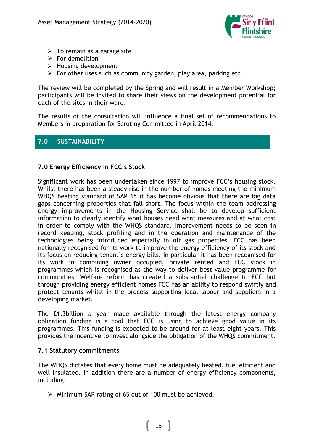

- $\triangleright$  To remain as a garage site
- $\triangleright$  For demolition
- $\triangleright$  Housing development
- $\triangleright$  For other uses such as community garden, play area, parking etc.

The review will be completed by the Spring and will result in a Member Workshop; participants will be invited to share their views on the development potential for each of the sites in their ward.

The results of the consultation will influence a final set of recommendations to Members in preparation for Scrutiny Committee in April 2014.

# **7.0 SUSTAINABILITY**

# **7.0 Energy Efficiency in FCC's Stock**

Significant work has been undertaken since 1997 to improve FCC's housing stock. Whilst there has been a steady rise in the number of homes meeting the minimum WHQS heating standard of SAP 65 it has become obvious that there are big data gaps concerning properties that fall short. The focus within the team addressing energy improvements in the Housing Service shall be to develop sufficient information to clearly identify what houses need what measures and at what cost in order to comply with the WHQS standard. Improvement needs to be seen in record keeping, stock profiling and in the operation and maintenance of the technologies being introduced especially in off gas properties. FCC has been nationally recognised for its work to improve the energy efficiency of its stock and its focus on reducing tenant's energy bills. In particular it has been recognised for its work in combining owner occupied, private rented and FCC stock in programmes which is recognised as the way to deliver best value programme for communities. Welfare reform has created a substantial challenge to FCC but through providing energy efficient homes FCC has an ability to respond swiftly and protect tenants whilst in the process supporting local labour and suppliers in a developing market.

The £1.3billion a year made available through the latest energy company obligation funding is a tool that FCC is using to achieve good value in its programmes. This funding is expected to be around for at least eight years. This provides the incentive to invest alongside the obligation of the WHQS commitment.

#### **7.1 Statutory commitments**

The WHQS dictates that every home must be adequately heated, fuel efficient and well insulated. In addition there are a number of energy efficiency components, including:

 $\triangleright$  Minimum SAP rating of 65 out of 100 must be achieved.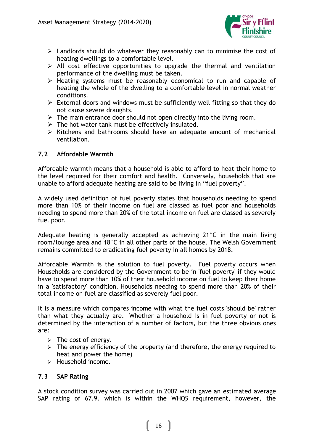

- $\triangleright$  Landlords should do whatever they reasonably can to minimise the cost of heating dwellings to a comfortable level.
- $\triangleright$  All cost effective opportunities to upgrade the thermal and ventilation performance of the dwelling must be taken.
- $\triangleright$  Heating systems must be reasonably economical to run and capable of heating the whole of the dwelling to a comfortable level in normal weather conditions.
- $\triangleright$  External doors and windows must be sufficiently well fitting so that they do not cause severe draughts.
- $\triangleright$  The main entrance door should not open directly into the living room.
- $\triangleright$  The hot water tank must be effectively insulated.
- $\triangleright$  Kitchens and bathrooms should have an adequate amount of mechanical ventilation.

# **7.2 Affordable Warmth**

Affordable warmth means that a household is able to afford to heat their home to the level required for their comfort and health. Conversely, households that are unable to afford adequate heating are said to be living in "fuel poverty".

A widely used definition of fuel poverty states that households needing to spend more than 10% of their income on fuel are classed as fuel poor and households needing to spend more than 20% of the total income on fuel are classed as severely fuel poor.

Adequate heating is generally accepted as achieving 21°C in the main living room/lounge area and 18°C in all other parts of the house. The Welsh Government remains committed to eradicating fuel poverty in all homes by 2018.

Affordable Warmth is the solution to fuel poverty. Fuel poverty occurs when Households are considered by the Government to be in 'fuel poverty' if they would have to spend more than 10% of their household income on fuel to keep their home in a 'satisfactory' condition. Households needing to spend more than 20% of their total income on fuel are classified as severely fuel poor.

It is a measure which compares income with what the fuel costs 'should be' rather than what they actually are. Whether a household is in fuel poverty or not is determined by the interaction of a number of factors, but the three obvious ones are:

- $\triangleright$  The cost of energy.
- $\geq$  The energy efficiency of the property (and therefore, the energy required to heat and power the home)
- $\triangleright$  Household income.

# **7.3 SAP Rating**

A stock condition survey was carried out in 2007 which gave an estimated average SAP rating of 67.9. which is within the WHQS requirement, however, the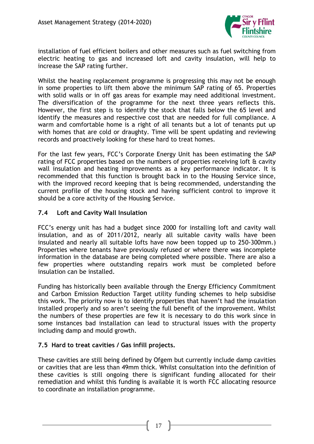

installation of fuel efficient boilers and other measures such as fuel switching from electric heating to gas and increased loft and cavity insulation, will help to increase the SAP rating further.

Whilst the heating replacement programme is progressing this may not be enough in some properties to lift them above the minimum SAP rating of 65. Properties with solid walls or in off gas areas for example may need additional investment. The diversification of the programme for the next three years reflects this. However, the first step is to identify the stock that falls below the 65 level and identify the measures and respective cost that are needed for full compliance. A warm and comfortable home is a right of all tenants but a lot of tenants put up with homes that are cold or draughty. Time will be spent updating and reviewing records and proactively looking for these hard to treat homes.

For the last few years, FCC's Corporate Energy Unit has been estimating the SAP rating of FCC properties based on the numbers of properties receiving loft & cavity wall insulation and heating improvements as a key performance indicator. It is recommended that this function is brought back in to the Housing Service since, with the improved record keeping that is being recommended, understanding the current profile of the housing stock and having sufficient control to improve it should be a core activity of the Housing Service.

### **7.4 Loft and Cavity Wall Insulation**

FCC's energy unit has had a budget since 2000 for installing loft and cavity wall insulation, and as of 2011/2012, nearly all suitable cavity walls have been insulated and nearly all suitable lofts have now been topped up to 250-300mm.) Properties where tenants have previously refused or where there was incomplete information in the database are being completed where possible. There are also a few properties where outstanding repairs work must be completed before insulation can be installed.

Funding has historically been available through the Energy Efficiency Commitment and Carbon Emission Reduction Target utility funding schemes to help subsidise this work. The priority now is to identify properties that haven't had the insulation installed properly and so aren't seeing the full benefit of the improvement. Whilst the numbers of these properties are few it is necessary to do this work since in some instances bad installation can lead to structural issues with the property including damp and mould growth.

# **7.5 Hard to treat cavities / Gas infill projects.**

These cavities are still being defined by Ofgem but currently include damp cavities or cavities that are less than 49mm thick. Whilst consultation into the definition of these cavities is still ongoing there is significant funding allocated for their remediation and whilst this funding is available it is worth FCC allocating resource to coordinate an installation programme.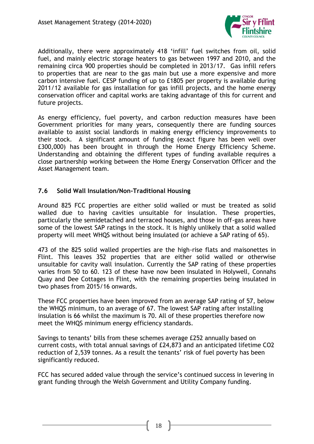

Additionally, there were approximately 418 'infill' fuel switches from oil, solid fuel, and mainly electric storage heaters to gas between 1997 and 2010, and the remaining circa 900 properties should be completed in 2013/17. Gas infill refers to properties that are near to the gas main but use a more expensive and more carbon intensive fuel. CESP funding of up to £1805 per property is available during 2011/12 available for gas installation for gas infill projects, and the home energy conservation officer and capital works are taking advantage of this for current and future projects.

As energy efficiency, fuel poverty, and carbon reduction measures have been Government priorities for many years, consequently there are funding sources available to assist social landlords in making energy efficiency improvements to their stock. A significant amount of funding (exact figure has been well over £300,000) has been brought in through the Home Energy Efficiency Scheme. Understanding and obtaining the different types of funding available requires a close partnership working between the Home Energy Conservation Officer and the Asset Management team.

# **7.6 Solid Wall Insulation/Non-Traditional Housing**

Around 825 FCC properties are either solid walled or must be treated as solid walled due to having cavities unsuitable for insulation. These properties, particularly the semidetached and terraced houses, and those in off-gas areas have some of the lowest SAP ratings in the stock. It is highly unlikely that a solid walled property will meet WHQS without being insulated (or achieve a SAP rating of 65).

473 of the 825 solid walled properties are the high-rise flats and maisonettes in Flint. This leaves 352 properties that are either solid walled or otherwise unsuitable for cavity wall insulation. Currently the SAP rating of these properties varies from 50 to 60. 123 of these have now been insulated in Holywell, Connahs Quay and Dee Cottages in Flint, with the remaining properties being insulated in two phases from 2015/16 onwards.

These FCC properties have been improved from an average SAP rating of 57, below the WHQS minimum, to an average of 67. The lowest SAP rating after installing insulation is 66 whilst the maximum is 70. All of these properties therefore now meet the WHQS minimum energy efficiency standards.

Savings to tenants' bills from these schemes average £252 annually based on current costs, with total annual savings of £24,873 and an anticipated lifetime CO2 reduction of 2,539 tonnes. As a result the tenants' risk of fuel poverty has been significantly reduced.

FCC has secured added value through the service's continued success in levering in grant funding through the Welsh Government and Utility Company funding.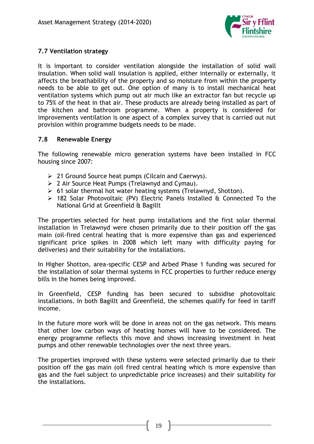

# **7.7 Ventilation strategy**

It is important to consider ventilation alongside the installation of solid wall insulation. When solid wall insulation is applied, either internally or externally, it affects the breathability of the property and so moisture from within the property needs to be able to get out. One option of many is to install mechanical heat ventilation systems which pump out air much like an extractor fan but recycle up to 75% of the heat in that air. These products are already being installed as part of the kitchen and bathroom programme. When a property is considered for improvements ventilation is one aspect of a complex survey that is carried out nut provision within programme budgets needs to be made.

# **7.8 Renewable Energy**

The following renewable micro generation systems have been installed in FCC housing since 2007:

- $\geq 21$  Ground Source heat pumps (Cilcain and Caerwys).
- 2 Air Source Heat Pumps (Trelawnyd and Cymau).
- $\geq 61$  solar thermal hot water heating systems (Trelawnyd, Shotton).
- 182 Solar Photovoltaic (PV) Electric Panels Installed & Connected To the National Grid at Greenfield & Bagillt

The properties selected for heat pump installations and the first solar thermal installation in Trelawnyd were chosen primarily due to their position off the gas main (oil-fired central heating that is more expensive than gas and experienced significant price spikes in 2008 which left many with difficulty paying for deliveries) and their suitability for the installations.

In Higher Shotton, area-specific CESP and Arbed Phase 1 funding was secured for the installation of solar thermal systems in FCC properties to further reduce energy bills in the homes being improved.

In Greenfield, CESP funding has been secured to subsidise photovoltaic installations. In both Bagillt and Greenfield, the schemes qualify for feed in tariff income.

In the future more work will be done in areas not on the gas network. This means that other low carbon ways of heating homes will have to be considered. The energy programme reflects this move and shows increasing investment in heat pumps and other renewable technologies over the next three years.

The properties improved with these systems were selected primarily due to their position off the gas main (oil fired central heating which is more expensive than gas and the fuel subject to unpredictable price increases) and their suitability for the installations.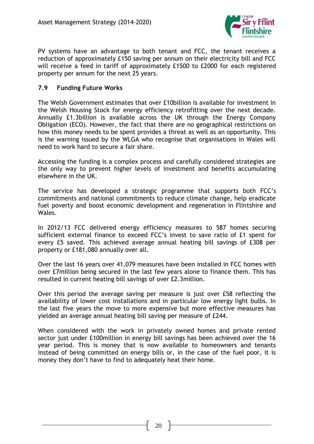

PV systems have an advantage to both tenant and FCC, the tenant receives a reduction of approximately £150 saving per annum on their electricity bill and FCC will receive a feed in tariff of approximately £1500 to £2000 for each registered property per annum for the next 25 years.

### **7.9 Funding Future Works**

The Welsh Government estimates that over £10billion is available for investment in the Welsh Housing Stock for energy efficiency retrofitting over the next decade. Annually £1.3billion is available across the UK through the Energy Company Obligation (ECO). However, the fact that there are no geographical restrictions on how this money needs to be spent provides a threat as well as an opportunity. This is the warning issued by the WLGA who recognise that organisations in Wales will need to work hard to secure a fair share.

Accessing the funding is a complex process and carefully considered strategies are the only way to prevent higher levels of investment and benefits accumulating elsewhere in the UK.

The service has developed a strategic programme that supports both FCC's commitments and national commitments to reduce climate change, help eradicate fuel poverty and boost economic development and regeneration in Flintshire and Wales.

In 2012/13 FCC delivered energy efficiency measures to 587 homes securing sufficient external finance to exceed FCC's invest to save ratio of £1 spent for every £5 saved. This achieved average annual heating bill savings of £308 per property or £181,080 annually over all.

Over the last 16 years over 41,079 measures have been installed in FCC homes with over £7million being secured in the last few years alone to finance them. This has resulted in current heating bill savings of over £2.3million.

Over this period the average saving per measure is just over £58 reflecting the availability of lower cost installations and in particular low energy light bulbs. In the last five years the move to more expensive but more effective measures has yielded an average annual heating bill saving per measure of £244.

When considered with the work in privately owned homes and private rented sector just under £100million in energy bill savings has been achieved over the 16 year period. This is money that is now available to homeowners and tenants instead of being committed on energy bills or, in the case of the fuel poor, it is money they don't have to find to adequately heat their home.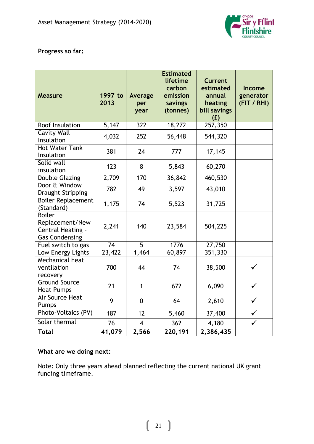

# **Progress so far:**

| <b>Measure</b>                                                                 | 1997 to<br>2013    | Average<br>per<br>year | <b>Estimated</b><br>lifetime<br>carbon<br>emission<br>savings<br>(tonnes) | <b>Current</b><br>estimated<br>annual<br>heating<br>bill savings<br>(E) | <b>Income</b><br>generator<br>(FIT / RHI) |
|--------------------------------------------------------------------------------|--------------------|------------------------|---------------------------------------------------------------------------|-------------------------------------------------------------------------|-------------------------------------------|
| Roof Insulation                                                                | $\overline{5,147}$ | $\overline{322}$       | 18,272                                                                    | 257,350                                                                 |                                           |
| <b>Cavity Wall</b><br>Insulation                                               | 4,032              | 252                    | 56,448                                                                    | 544,320                                                                 |                                           |
| <b>Hot Water Tank</b><br>Insulation                                            | 381                | 24                     | 777                                                                       | 17,145                                                                  |                                           |
| Solid wall<br>insulation                                                       | 123                | 8                      | 5,843                                                                     | 60,270                                                                  |                                           |
| Double Glazing                                                                 | 2,709              | 170                    | 36,842                                                                    | 460,530                                                                 |                                           |
| Door & Window<br><b>Draught Stripping</b>                                      | 782                | 49                     | 3,597                                                                     | 43,010                                                                  |                                           |
| <b>Boiler Replacement</b><br>(Standard)                                        | 1,175              | 74                     | 5,523                                                                     | 31,725                                                                  |                                           |
| <b>Boiler</b><br>Replacement/New<br>Central Heating -<br><b>Gas Condensing</b> | 2,241              | 140                    | 23,584                                                                    | 504,225                                                                 |                                           |
| Fuel switch to gas                                                             | 74                 | 5                      | 1776                                                                      | 27,750                                                                  |                                           |
| Low Energy Lights                                                              | 23,422             | 1,464                  | 60,897                                                                    | 351,330                                                                 |                                           |
| Mechanical heat<br>ventilation<br>recovery                                     | 700                | 44                     | 74                                                                        | 38,500                                                                  |                                           |
| <b>Ground Source</b><br><b>Heat Pumps</b>                                      | 21                 | $\mathbf{1}$           | 672                                                                       | 6,090                                                                   | $\checkmark$                              |
| <b>Air Source Heat</b><br>Pumps                                                | 9                  | $\mathbf{0}$           | 64                                                                        | 2,610                                                                   |                                           |
| Photo-Voltaics (PV)                                                            | 187                | 12                     | 5,460                                                                     | 37,400                                                                  |                                           |
| Solar thermal                                                                  | 76                 | $\overline{4}$         | 362                                                                       | 4,180                                                                   |                                           |
| <b>Total</b>                                                                   | 41,079             | 2,566                  | 220,191                                                                   | 2,386,435                                                               |                                           |

# **What are we doing next:**

Note: Only three years ahead planned reflecting the current national UK grant funding timeframe.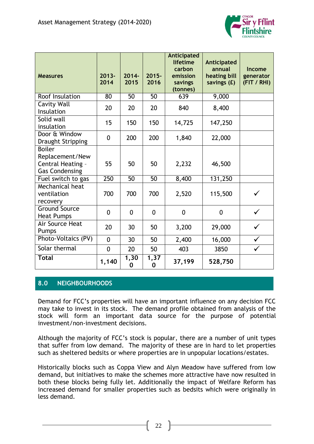

| <b>Measures</b>                                                                | $2013 -$<br>2014 | $2014 -$<br>2015 | $2015 -$<br>2016 | Anticipated<br>lifetime<br>carbon<br>emission<br>savings<br>(tonnes) | Anticipated<br>annual<br>heating bill<br>savings (£) | <b>Income</b><br>generator<br>(FIT / RHI) |
|--------------------------------------------------------------------------------|------------------|------------------|------------------|----------------------------------------------------------------------|------------------------------------------------------|-------------------------------------------|
| Roof Insulation                                                                | 80               | 50               | 50               | 639                                                                  | 9,000                                                |                                           |
| <b>Cavity Wall</b><br>Insulation                                               | 20               | 20               | 20               | 840                                                                  | 8,400                                                |                                           |
| Solid wall<br>insulation                                                       | 15               | 150              | 150              | 14,725                                                               | 147,250                                              |                                           |
| Door & Window<br><b>Draught Stripping</b>                                      | $\overline{0}$   | 200              | 200              | 1,840                                                                | 22,000                                               |                                           |
| <b>Boiler</b><br>Replacement/New<br>Central Heating -<br><b>Gas Condensing</b> | 55               | 50               | 50               | 2,232                                                                | 46,500                                               |                                           |
| Fuel switch to gas                                                             | 250              | 50               | 50               | 8,400                                                                | 131,250                                              |                                           |
| Mechanical heat<br>ventilation<br>recovery                                     | 700              | 700              | 700              | 2,520                                                                | 115,500                                              |                                           |
| <b>Ground Source</b><br><b>Heat Pumps</b>                                      | $\overline{0}$   | $\overline{0}$   | $\overline{0}$   | $\overline{0}$                                                       | $\overline{0}$                                       |                                           |
| Air Source Heat<br>Pumps                                                       | 20               | 30               | 50               | 3,200                                                                | 29,000                                               |                                           |
| Photo-Voltaics (PV)                                                            | $\overline{0}$   | 30               | 50               | 2,400                                                                | 16,000                                               |                                           |
| Solar thermal                                                                  | $\overline{0}$   | 20               | 50               | 403                                                                  | 3850                                                 | ✓                                         |
| <b>Total</b>                                                                   | 1,140            | 1,30<br>0        | 1,37<br>0        | 37,199                                                               | 528,750                                              |                                           |

# **8.0 NEIGHBOURHOODS**

Demand for FCC's properties will have an important influence on any decision FCC may take to invest in its stock. The demand profile obtained from analysis of the stock will form an important data source for the purpose of potential investment/non-investment decisions.

Although the majority of FCC's stock is popular, there are a number of unit types that suffer from low demand. The majority of these are in hard to let properties such as sheltered bedsits or where properties are in unpopular locations/estates.

Historically blocks such as Coppa View and Alyn Meadow have suffered from low demand, but initiatives to make the schemes more attractive have now resulted in both these blocks being fully let. Additionally the impact of Welfare Reform has increased demand for smaller properties such as bedsits which were originally in less demand.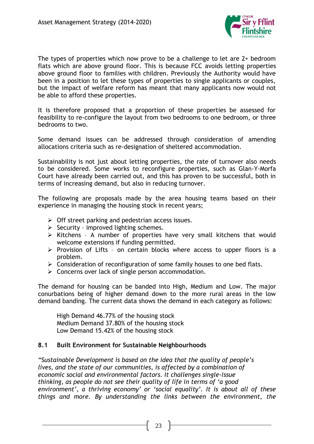

The types of properties which now prove to be a challenge to let are 2+ bedroom flats which are above ground floor. This is because FCC avoids letting properties above ground floor to families with children. Previously the Authority would have been in a position to let these types of properties to single applicants or couples, but the impact of welfare reform has meant that many applicants now would not be able to afford these properties.

It is therefore proposed that a proportion of these properties be assessed for feasibility to re-configure the layout from two bedrooms to one bedroom, or three bedrooms to two.

Some demand issues can be addressed through consideration of amending allocations criteria such as re-designation of sheltered accommodation.

Sustainability is not just about letting properties, the rate of turnover also needs to be considered. Some works to reconfigure properties, such as Glan-Y-Morfa Court have already been carried out, and this has proven to be successful, both in terms of increasing demand, but also in reducing turnover.

The following are proposals made by the area housing teams based on their experience in managing the housing stock in recent years;

- $\triangleright$  Off street parking and pedestrian access issues.
- $\triangleright$  Security improved lighting schemes.
- $\triangleright$  Kitchens A number of properties have very small kitchens that would welcome extensions if funding permitted.
- $\triangleright$  Provision of Lifts on certain blocks where access to upper floors is a problem.
- $\triangleright$  Consideration of reconfiguration of some family houses to one bed flats.
- $\triangleright$  Concerns over lack of single person accommodation.

The demand for housing can be banded into High, Medium and Low. The major conurbations being of higher demand down to the more rural areas in the low demand banding. The current data shows the demand in each category as follows:

High Demand 46.77% of the housing stock Medium Demand 37.80% of the housing stock Low Demand 15.42% of the housing stock

# **8.1 Built Environment for Sustainable Neighbourhoods**

*"Sustainable Development is based on the idea that the quality of people's lives, and the state of our communities, is affected by a combination of economic social and environmental factors. It challenges single-issue thinking, as people do not see their quality of life in terms of 'a good environment', a thriving economy' or 'social equality'. It is about all of these things and more. By understanding the links between the environment, the*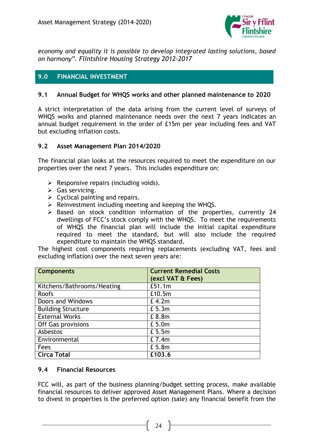

*economy and equality it is possible to develop integrated lasting solutions, based on harmony". Flintshire Housing Strategy 2012-2017*

# **9.0 FINANCIAL INVESTMENT**

# **9.1 Annual Budget for WHQS works and other planned maintenance to 2020**

A strict interpretation of the data arising from the current level of surveys of WHQS works and planned maintenance needs over the next 7 years indicates an annual budget requirement in the order of £15m per year including fees and VAT but excluding inflation costs.

#### **9.2 Asset Management Plan 2014/2020**

The financial plan looks at the resources required to meet the expenditure on our properties over the next 7 years. This includes expenditure on:

- $\triangleright$  Responsive repairs (including voids).
- $\triangleright$  Gas servicing.
- $\triangleright$  Cyclical painting and repairs.
- $\triangleright$  Reinvestment including meeting and keeping the WHQS.
- $\triangleright$  Based on stock condition information of the properties, currently 24 dwellings of FCC's stock comply with the WHQS. To meet the requirements of WHQS the financial plan will include the initial capital expenditure required to meet the standard, but will also include the required expenditure to maintain the WHQS standard.

The highest cost components requiring replacements (excluding VAT, fees and excluding inflation) over the next seven years are:

| <b>Components</b>          | <b>Current Remedial Costs</b> |
|----------------------------|-------------------------------|
|                            | (excl VAT & Fees)             |
| Kitchens/Bathrooms/Heating | £51.1m                        |
| <b>Roofs</b>               | £10.5m                        |
| Doors and Windows          | £4.2m                         |
| <b>Building Structure</b>  | £ 5.3m                        |
| <b>External Works</b>      | £ 8.8m                        |
| Off Gas provisions         | £ 5.0m                        |
| Asbestos                   | £ 5.5m                        |
| Environmental              | £ 7.4m                        |
| Fees                       | £ 5.8m                        |
| <b>Circa Total</b>         | £103.6                        |

#### **9.4 Financial Resources**

FCC will, as part of the business planning/budget setting process, make available financial resources to deliver approved Asset Management Plans. Where a decision to divest in properties is the preferred option (sale) any financial benefit from the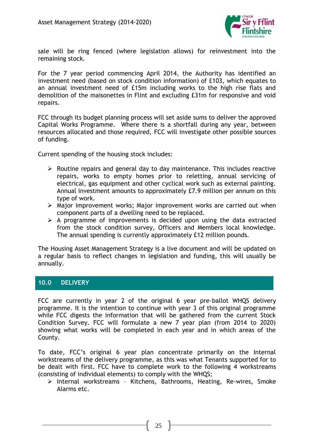

sale will be ring fenced (where legislation allows) for reinvestment into the remaining stock.

For the 7 year period commencing April 2014, the Authority has identified an investment need (based on stock condition information) of £103, which equates to an annual investment need of £15m including works to the high rise flats and demolition of the maisonettes in Flint and excluding £31m for responsive and void repairs.

FCC through its budget planning process will set aside sums to deliver the approved Capital Works Programme. Where there is a shortfall during any year, between resources allocated and those required, FCC will investigate other possible sources of funding.

Current spending of the housing stock includes:

- $\triangleright$  Routine repairs and general day to day maintenance. This includes reactive repairs, works to empty homes prior to reletting, annual servicing of electrical, gas equipment and other cyclical work such as external painting. Annual investment amounts to approximately £7.9 million per annum on this type of work.
- $\triangleright$  Major improvement works; Major improvement works are carried out when component parts of a dwelling need to be replaced.
- $\triangleright$  A programme of improvements is decided upon using the data extracted from the stock condition survey, Officers and Members local knowledge. The annual spending is currently approximately £12 million pounds.

The Housing Asset Management Strategy is a live document and will be updated on a regular basis to reflect changes in legislation and funding, this will usually be annually.

# **10.0 DELIVERY**

FCC are currently in year 2 of the original 6 year pre-ballot WHQS delivery programme. It is the intention to continue with year 3 of this original programme while FCC digests the information that will be gathered from the current Stock Condition Survey. FCC will formulate a new 7 year plan (from 2014 to 2020) showing what works will be completed in each year and in which areas of the County.

To date, FCC's original 6 year plan concentrate primarily on the Internal workstreams of the delivery programme, as this was what Tenants supported for to be dealt with first. FCC have to complete work to the following 4 workstreams (consisting of individual elements) to comply with the WHQS;

 $\triangleright$  Internal workstreams - Kitchens, Bathrooms, Heating, Re-wires, Smoke Alarms etc.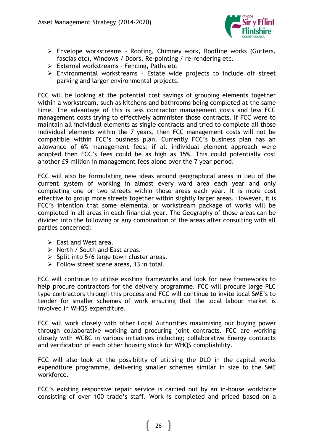

- Envelope workstreams Roofing, Chimney work, Roofline works (Gutters, fascias etc), Windows / Doors, Re-pointing / re-rendering etc.
- $\triangleright$  External workstreams Fencing, Paths etc
- $\triangleright$  Environmental workstreams Estate wide projects to include off street parking and larger environmental projects.

FCC will be looking at the potential cost savings of grouping elements together within a workstream, such as kitchens and bathrooms being completed at the same time. The advantage of this is less contractor management costs and less FCC management costs trying to effectively administer those contracts. If FCC were to maintain all individual elements as single contracts and tried to complete all those individual elements within the 7 years, then FCC management costs will not be compatible within FCC's business plan. Currently FCC's business plan has an allowance of 6% management fees; if all individual element approach were adopted then FCC's fees could be as high as 15%. This could potentially cost another £9 million in management fees alone over the 7 year period.

FCC will also be formulating new ideas around geographical areas in lieu of the current system of working in almost every ward area each year and only completing one or two streets within those areas each year. It is more cost effective to group more streets together within slightly larger areas. However, it is FCC's intention that some elemental or workstream package of works will be completed in all areas in each financial year. The Geography of those areas can be divided into the following or any combination of the areas after consulting with all parties concerned;

- $\triangleright$  East and West area.
- $\triangleright$  North / South and East areas.
- $\triangleright$  Split into 5/6 large town cluster areas.
- $\triangleright$  Follow street scene areas, 13 in total.

FCC will continue to utilise existing frameworks and look for new frameworks to help procure contractors for the delivery programme. FCC will procure large PLC type contractors through this process and FCC will continue to invite local SME's to tender for smaller schemes of work ensuring that the local labour market is involved in WHQS expenditure.

FCC will work closely with other Local Authorities maximising our buying power through collaborative working and procuring joint contracts. FCC are working closely with WCBC in various initiatives including; collaborative Energy contracts and verification of each other housing stock for WHQS compliability.

FCC will also look at the possibility of utilising the DLO in the capital works expenditure programme, delivering smaller schemes similar in size to the SME workforce.

FCC's existing responsive repair service is carried out by an in-house workforce consisting of over 100 trade's staff. Work is completed and priced based on a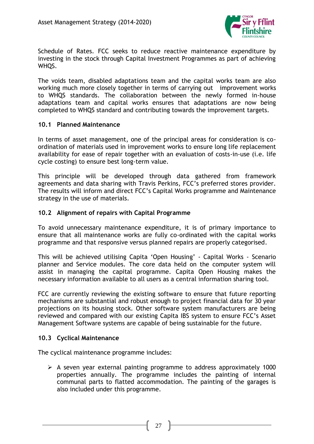

Schedule of Rates. FCC seeks to reduce reactive maintenance expenditure by investing in the stock through Capital Investment Programmes as part of achieving WHQS.

The voids team, disabled adaptations team and the capital works team are also working much more closely together in terms of carrying out improvement works to WHQS standards. The collaboration between the newly formed in-house adaptations team and capital works ensures that adaptations are now being completed to WHQS standard and contributing towards the improvement targets.

#### **10.1 Planned Maintenance**

In terms of asset management, one of the principal areas for consideration is coordination of materials used in improvement works to ensure long life replacement availability for ease of repair together with an evaluation of costs-in-use (i.e. life cycle costing) to ensure best long-term value.

This principle will be developed through data gathered from framework agreements and data sharing with Travis Perkins, FCC's preferred stores provider. The results will inform and direct FCC's Capital Works programme and Maintenance strategy in the use of materials.

#### **10.2 Alignment of repairs with Capital Programme**

To avoid unnecessary maintenance expenditure, it is of primary importance to ensure that all maintenance works are fully co-ordinated with the capital works programme and that responsive versus planned repairs are properly categorised.

This will be achieved utilising Capita 'Open Housing' - Capital Works - Scenario planner and Service modules. The core data held on the computer system will assist in managing the capital programme. Capita Open Housing makes the necessary information available to all users as a central information sharing tool.

FCC are currently reviewing the existing software to ensure that future reporting mechanisms are substantial and robust enough to project financial data for 30 year projections on its housing stock. Other software system manufacturers are being reviewed and compared with our existing Capita IBS system to ensure FCC's Asset Management Software systems are capable of being sustainable for the future.

#### **10.3 Cyclical Maintenance**

The cyclical maintenance programme includes:

 $\triangleright$  A seven year external painting programme to address approximately 1000 properties annually. The programme includes the painting of internal communal parts to flatted accommodation. The painting of the garages is also included under this programme.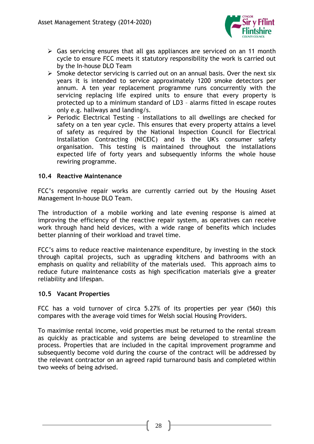

- $\triangleright$  Gas servicing ensures that all gas appliances are serviced on an 11 month cycle to ensure FCC meets it statutory responsibility the work is carried out by the In-house DLO Team
- $\triangleright$  Smoke detector servicing is carried out on an annual basis. Over the next six years it is intended to service approximately 1200 smoke detectors per annum. A ten year replacement programme runs concurrently with the servicing replacing life expired units to ensure that every property is protected up to a minimum standard of LD3 – alarms fitted in escape routes only e.g. hallways and landing/s.
- $\triangleright$  Periodic Electrical Testing installations to all dwellings are checked for safety on a ten year cycle. This ensures that every property attains a level of safety as required by the National Inspection Council for Electrical Installation Contracting (NICEIC) and is the UK's consumer safety organisation. This testing is maintained throughout the installations expected life of forty years and subsequently informs the whole house rewiring programme.

#### **10.4 Reactive Maintenance**

FCC's responsive repair works are currently carried out by the Housing Asset Management In-house DLO Team.

The introduction of a mobile working and late evening response is aimed at improving the efficiency of the reactive repair system, as operatives can receive work through hand held devices, with a wide range of benefits which includes better planning of their workload and travel time.

FCC's aims to reduce reactive maintenance expenditure, by investing in the stock through capital projects, such as upgrading kitchens and bathrooms with an emphasis on quality and reliability of the materials used. This approach aims to reduce future maintenance costs as high specification materials give a greater reliability and lifespan.

#### **10.5 Vacant Properties**

FCC has a void turnover of circa 5.27% of its properties per year (560) this compares with the average void times for Welsh social Housing Providers.

To maximise rental income, void properties must be returned to the rental stream as quickly as practicable and systems are being developed to streamline the process. Properties that are included in the capital improvement programme and subsequently become void during the course of the contract will be addressed by the relevant contractor on an agreed rapid turnaround basis and completed within two weeks of being advised.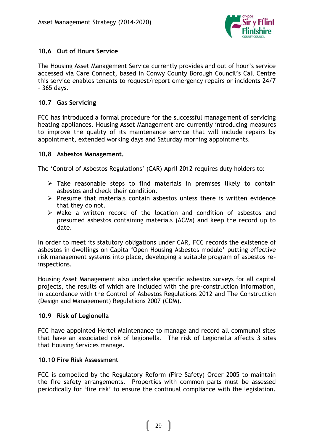

# **10.6 Out of Hours Service**

The Housing Asset Management Service currently provides and out of hour's service accessed via Care Connect, based in Conwy County Borough Council's Call Centre this service enables tenants to request/report emergency repairs or incidents 24/7 – 365 days.

# **10.7 Gas Servicing**

FCC has introduced a formal procedure for the successful management of servicing heating appliances. Housing Asset Management are currently introducing measures to improve the quality of its maintenance service that will include repairs by appointment, extended working days and Saturday morning appointments.

# **10.8 Asbestos Management.**

The 'Control of Asbestos Regulations' (CAR) April 2012 requires duty holders to:

- $\triangleright$  Take reasonable steps to find materials in premises likely to contain asbestos and check their condition.
- $\triangleright$  Presume that materials contain asbestos unless there is written evidence that they do not.
- $\triangleright$  Make a written record of the location and condition of asbestos and presumed asbestos containing materials (ACMs) and keep the record up to date.

In order to meet its statutory obligations under CAR, FCC records the existence of asbestos in dwellings on Capita 'Open Housing Asbestos module' putting effective risk management systems into place, developing a suitable program of asbestos reinspections.

Housing Asset Management also undertake specific asbestos surveys for all capital projects, the results of which are included with the pre-construction information, in accordance with the Control of Asbestos Regulations 2012 and The Construction (Design and Management) Regulations 2007 (CDM).

# **10.9 Risk of Legionella**

FCC have appointed Hertel Maintenance to manage and record all communal sites that have an associated risk of legionella. The risk of Legionella affects 3 sites that Housing Services manage.

#### **10.10 Fire Risk Assessment**

FCC is compelled by the Regulatory Reform (Fire Safety) Order 2005 to maintain the fire safety arrangements. Properties with common parts must be assessed periodically for 'fire risk' to ensure the continual compliance with the legislation.